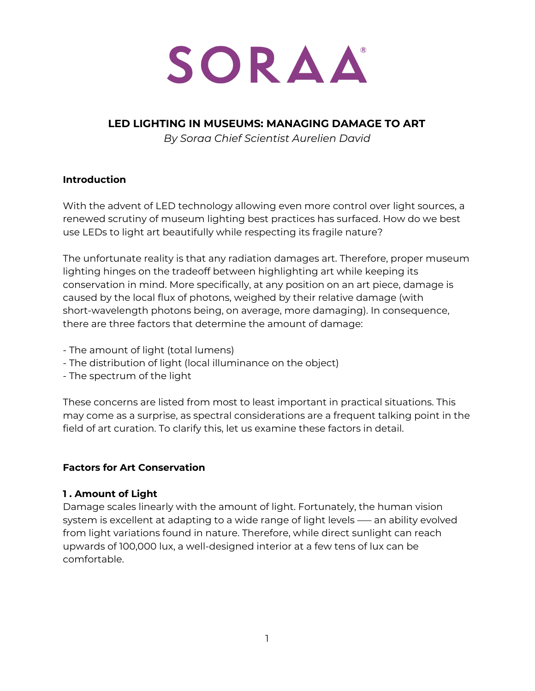

## **LED LIGHTING IN MUSEUMS: MANAGING DAMAGE TO ART**

*By Soraa Chief Scientist Aurelien David*

#### **Introduction**

With the advent of LED technology allowing even more control over light sources, a renewed scrutiny of museum lighting best practices has surfaced. How do we best use LEDs to light art beautifully while respecting its fragile nature?

The unfortunate reality is that any radiation damages art. Therefore, proper museum lighting hinges on the tradeoff between highlighting art while keeping its conservation in mind. More specifically, at any position on an art piece, damage is caused by the local flux of photons, weighed by their relative damage (with short-wavelength photons being, on average, more damaging). In consequence, there are three factors that determine the amount of damage:

- The amount of light (total lumens)
- The distribution of light (local illuminance on the object)
- The spectrum of the light

These concerns are listed from most to least important in practical situations. This may come as a surprise, as spectral considerations are a frequent talking point in the field of art curation. To clarify this, let us examine these factors in detail.

### **Factors for Art Conservation**

#### **1 . Amount of Light**

Damage scales linearly with the amount of light. Fortunately, the human vision system is excellent at adapting to a wide range of light levels –— an ability evolved from light variations found in nature. Therefore, while direct sunlight can reach upwards of 100,000 lux, a well-designed interior at a few tens of lux can be comfortable.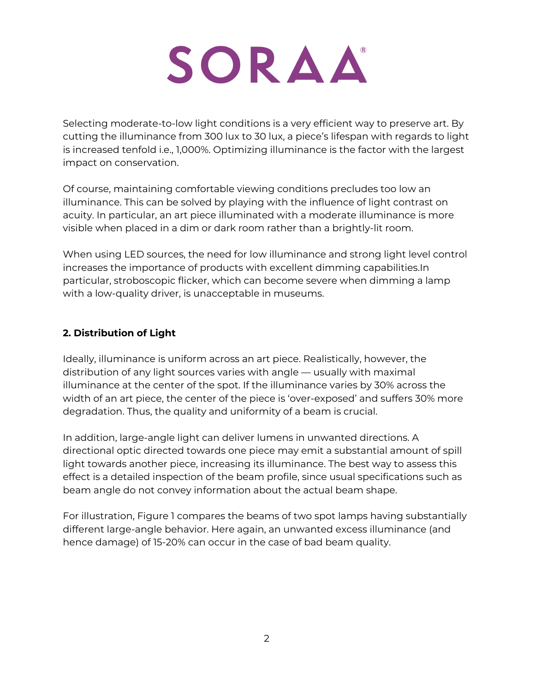

Selecting moderate-to-low light conditions is a very efficient way to preserve art. By cutting the illuminance from 300 lux to 30 lux, a piece's lifespan with regards to light is increased tenfold i.e., 1,000%. Optimizing illuminance is the factor with the largest impact on conservation.

Of course, maintaining comfortable viewing conditions precludes too low an illuminance. This can be solved by playing with the influence of light contrast on acuity. In particular, an art piece illuminated with a moderate illuminance is more visible when placed in a dim or dark room rather than a brightly-lit room.

When using LED sources, the need for low illuminance and strong light level control increases the importance of products with excellent dimming capabilities.In particular, stroboscopic flicker, which can become severe when dimming a lamp with a low-quality driver, is unacceptable in museums.

## **2. Distribution of Light**

Ideally, illuminance is uniform across an art piece. Realistically, however, the distribution of any light sources varies with angle — usually with maximal illuminance at the center of the spot. If the illuminance varies by 30% across the width of an art piece, the center of the piece is 'over-exposed' and suffers 30% more degradation. Thus, the quality and uniformity of a beam is crucial.

In addition, large-angle light can deliver lumens in unwanted directions. A directional optic directed towards one piece may emit a substantial amount of spill light towards another piece, increasing its illuminance. The best way to assess this effect is a detailed inspection of the beam profile, since usual specifications such as beam angle do not convey information about the actual beam shape.

For illustration, Figure 1 compares the beams of two spot lamps having substantially different large-angle behavior. Here again, an unwanted excess illuminance (and hence damage) of 15-20% can occur in the case of bad beam quality.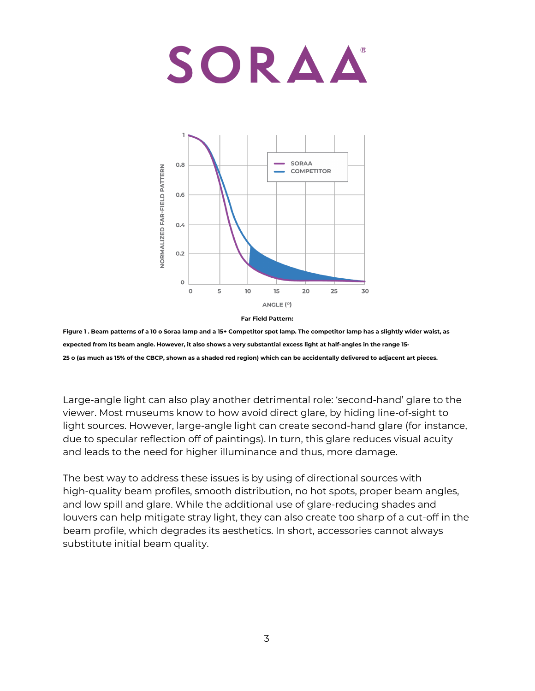

**Far Field Pattern:**

Figure 1. Beam patterns of a 10 o Soraa lamp and a 15+ Competitor spot lamp. The competitor lamp has a slightly wider waist, as expected from its beam angle. However, it also shows a very substantial excess light at half-angles in the range 15-25 o (as much as 15% of the CBCP, shown as a shaded red region) which can be accidentally delivered to adjacent art pieces.

Large-angle light can also play another detrimental role: 'second-hand' glare to the viewer. Most museums know to how avoid direct glare, by hiding line-of-sight to light sources. However, large-angle light can create second-hand glare (for instance, due to specular reflection off of paintings). In turn, this glare reduces visual acuity and leads to the need for higher illuminance and thus, more damage.

The best way to address these issues is by using of directional sources with high-quality beam profiles, smooth distribution, no hot spots, proper beam angles, and low spill and glare. While the additional use of glare-reducing shades and louvers can help mitigate stray light, they can also create too sharp of a cut-off in the beam profile, which degrades its aesthetics. In short, accessories cannot always substitute initial beam quality.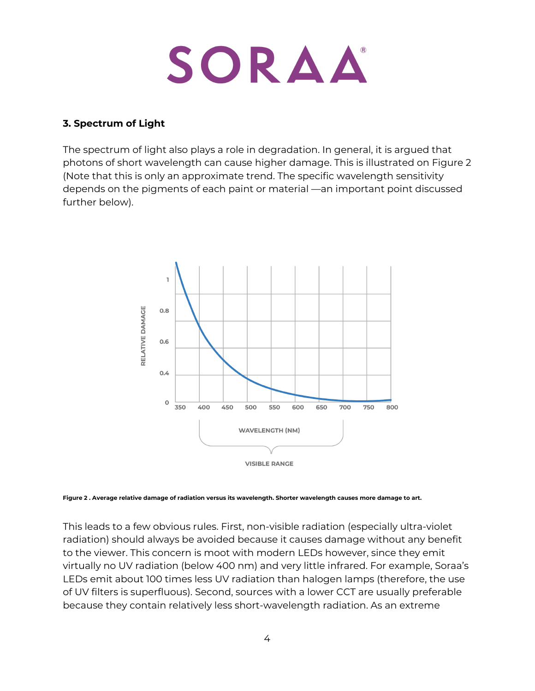

#### **3. Spectrum of Light**

The spectrum of light also plays a role in degradation. In general, it is argued that photons of short wavelength can cause higher damage. This is illustrated on Figure 2 (Note that this is only an approximate trend. The specific wavelength sensitivity depends on the pigments of each paint or material —an important point discussed further below).



Figure 2. Average relative damage of radiation versus its wavelength. Shorter wavelength causes more damage to art.

This leads to a few obvious rules. First, non-visible radiation (especially ultra-violet radiation) should always be avoided because it causes damage without any benefit to the viewer. This concern is moot with modern LEDs however, since they emit virtually no UV radiation (below 400 nm) and very little infrared. For example, Soraa's LEDs emit about 100 times less UV radiation than halogen lamps (therefore, the use of UV filters is superfluous). Second, sources with a lower CCT are usually preferable because they contain relatively less short-wavelength radiation. As an extreme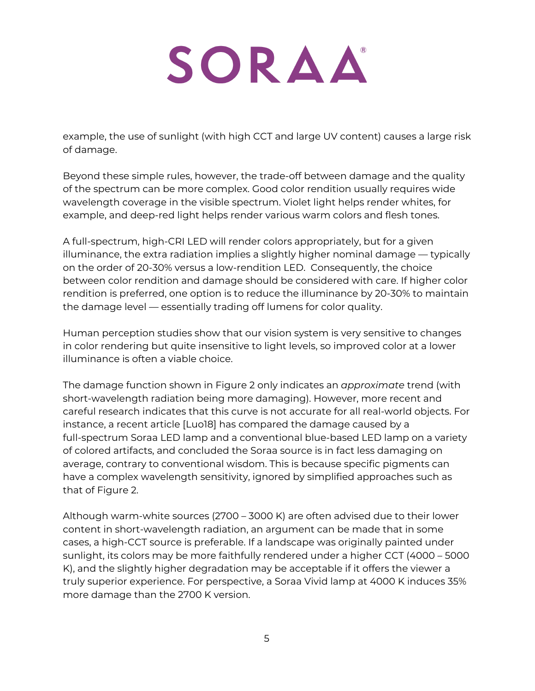example, the use of sunlight (with high CCT and large UV content) causes a large risk of damage.

Beyond these simple rules, however, the trade-off between damage and the quality of the spectrum can be more complex. Good color rendition usually requires wide wavelength coverage in the visible spectrum. Violet light helps render whites, for example, and deep-red light helps render various warm colors and flesh tones.

A full-spectrum, high-CRI LED will render colors appropriately, but for a given illuminance, the extra radiation implies a slightly higher nominal damage — typically on the order of 20-30% versus a low-rendition LED. Consequently, the choice between color rendition and damage should be considered with care. If higher color rendition is preferred, one option is to reduce the illuminance by 20-30% to maintain the damage level — essentially trading off lumens for color quality.

Human perception studies show that our vision system is very sensitive to changes in color rendering but quite insensitive to light levels, so improved color at a lower illuminance is often a viable choice.

The damage function shown in Figure 2 only indicates an *approximate* trend (with short-wavelength radiation being more damaging). However, more recent and careful research indicates that this curve is not accurate for all real-world objects. For instance, a recent article [Luo18] has compared the damage caused by a full-spectrum Soraa LED lamp and a conventional blue-based LED lamp on a variety of colored artifacts, and concluded the Soraa source is in fact less damaging on average, contrary to conventional wisdom. This is because specific pigments can have a complex wavelength sensitivity, ignored by simplified approaches such as that of Figure 2.

Although warm-white sources (2700 – 3000 K) are often advised due to their lower content in short-wavelength radiation, an argument can be made that in some cases, a high-CCT source is preferable. If a landscape was originally painted under sunlight, its colors may be more faithfully rendered under a higher CCT (4000 – 5000 K), and the slightly higher degradation may be acceptable if it offers the viewer a truly superior experience. For perspective, a Soraa Vivid lamp at 4000 K induces 35% more damage than the 2700 K version.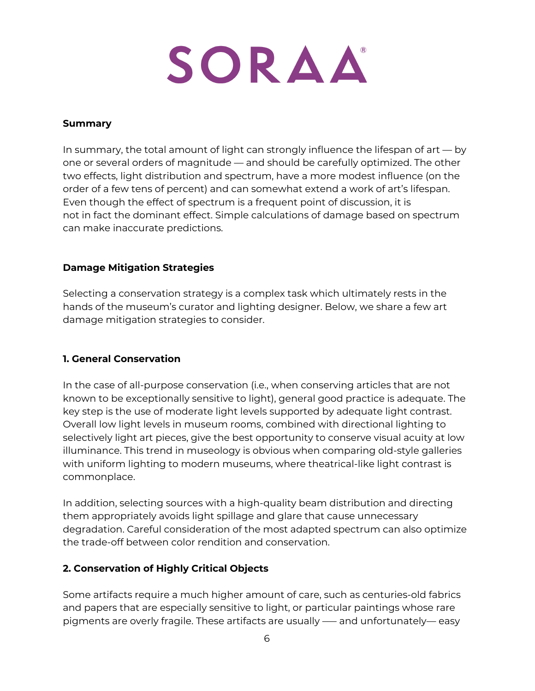

#### **Summary**

In summary, the total amount of light can strongly influence the lifespan of art — by one or several orders of magnitude — and should be carefully optimized. The other two effects, light distribution and spectrum, have a more modest influence (on the order of a few tens of percent) and can somewhat extend a work of art's lifespan. Even though the effect of spectrum is a frequent point of discussion, it is not in fact the dominant effect. Simple calculations of damage based on spectrum can make inaccurate predictions.

#### **Damage Mitigation Strategies**

Selecting a conservation strategy is a complex task which ultimately rests in the hands of the museum's curator and lighting designer. Below, we share a few art damage mitigation strategies to consider.

#### **1. General Conservation**

In the case of all-purpose conservation (i.e., when conserving articles that are not known to be exceptionally sensitive to light), general good practice is adequate. The key step is the use of moderate light levels supported by adequate light contrast. Overall low light levels in museum rooms, combined with directional lighting to selectively light art pieces, give the best opportunity to conserve visual acuity at low illuminance. This trend in museology is obvious when comparing old-style galleries with uniform lighting to modern museums, where theatrical-like light contrast is commonplace.

In addition, selecting sources with a high-quality beam distribution and directing them appropriately avoids light spillage and glare that cause unnecessary degradation. Careful consideration of the most adapted spectrum can also optimize the trade-off between color rendition and conservation.

#### **2. Conservation of Highly Critical Objects**

Some artifacts require a much higher amount of care, such as centuries-old fabrics and papers that are especially sensitive to light, or particular paintings whose rare pigments are overly fragile. These artifacts are usually –— and unfortunately— easy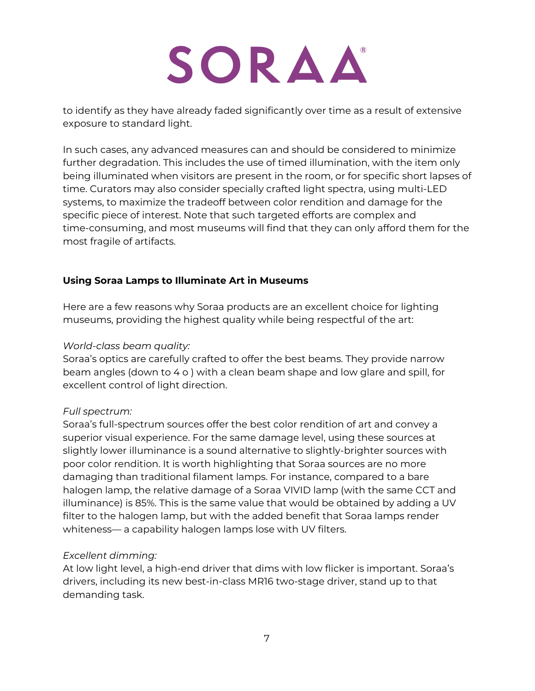to identify as they have already faded significantly over time as a result of extensive exposure to standard light.

In such cases, any advanced measures can and should be considered to minimize further degradation. This includes the use of timed illumination, with the item only being illuminated when visitors are present in the room, or for specific short lapses of time. Curators may also consider specially crafted light spectra, using multi-LED systems, to maximize the tradeoff between color rendition and damage for the specific piece of interest. Note that such targeted efforts are complex and time-consuming, and most museums will find that they can only afford them for the most fragile of artifacts.

### **Using Soraa Lamps to Illuminate Art in Museums**

Here are a few reasons why Soraa products are an excellent choice for lighting museums, providing the highest quality while being respectful of the art:

#### *World-class beam quality:*

Soraa's optics are carefully crafted to offer the best beams. They provide narrow beam angles (down to 4 o ) with a clean beam shape and low glare and spill, for excellent control of light direction.

#### *Full spectrum:*

Soraa's full-spectrum sources offer the best color rendition of art and convey a superior visual experience. For the same damage level, using these sources at slightly lower illuminance is a sound alternative to slightly-brighter sources with poor color rendition. It is worth highlighting that Soraa sources are no more damaging than traditional filament lamps. For instance, compared to a bare halogen lamp, the relative damage of a Soraa VIVID lamp (with the same CCT and illuminance) is 85%. This is the same value that would be obtained by adding a UV filter to the halogen lamp, but with the added benefit that Soraa lamps render whiteness— a capability halogen lamps lose with UV filters.

#### *Excellent dimming:*

At low light level, a high-end driver that dims with low flicker is important. Soraa's drivers, including its new best-in-class MR16 two-stage driver, stand up to that demanding task.